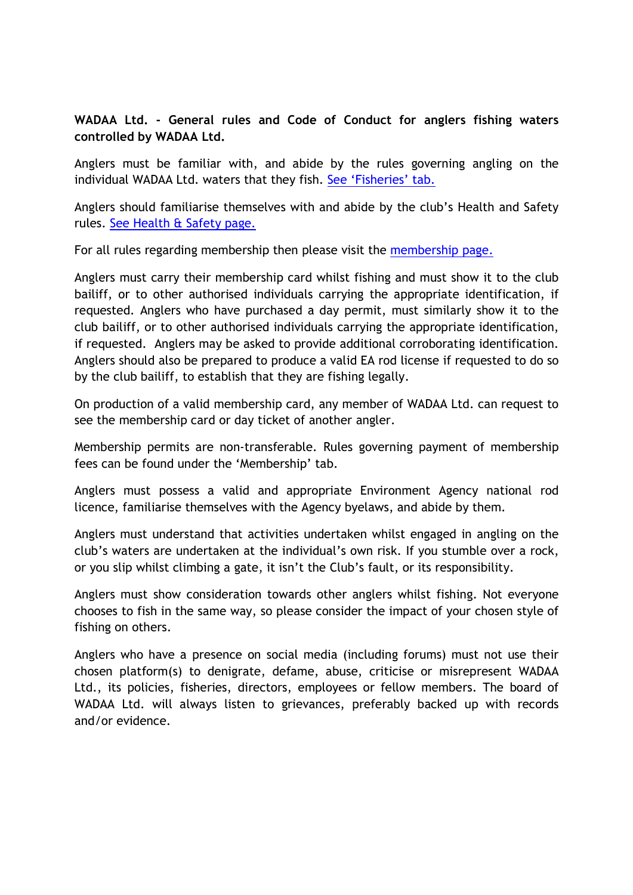## WADAA Ltd. - General rules and Code of Conduct for anglers fishing waters controlled by WADAA Ltd.

Anglers must be familiar with, and abide by the rules governing angling on the individual WADAA Ltd. waters that they fish. See 'Fisheries' tab.

Anglers should familiarise themselves with and abide by the club's Health and Safety rules. See Health & Safety page.

For all rules regarding membership then please visit the membership page.

Anglers must carry their membership card whilst fishing and must show it to the club bailiff, or to other authorised individuals carrying the appropriate identification, if requested. Anglers who have purchased a day permit, must similarly show it to the club bailiff, or to other authorised individuals carrying the appropriate identification, if requested. Anglers may be asked to provide additional corroborating identification. Anglers should also be prepared to produce a valid EA rod license if requested to do so by the club bailiff, to establish that they are fishing legally.

On production of a valid membership card, any member of WADAA Ltd. can request to see the membership card or day ticket of another angler.

Membership permits are non-transferable. Rules governing payment of membership fees can be found under the 'Membership' tab.

Anglers must possess a valid and appropriate Environment Agency national rod licence, familiarise themselves with the Agency byelaws, and abide by them.

Anglers must understand that activities undertaken whilst engaged in angling on the club's waters are undertaken at the individual's own risk. If you stumble over a rock, or you slip whilst climbing a gate, it isn't the Club's fault, or its responsibility.

Anglers must show consideration towards other anglers whilst fishing. Not everyone chooses to fish in the same way, so please consider the impact of your chosen style of fishing on others.

Anglers who have a presence on social media (including forums) must not use their chosen platform(s) to denigrate, defame, abuse, criticise or misrepresent WADAA Ltd., its policies, fisheries, directors, employees or fellow members. The board of WADAA Ltd. will always listen to grievances, preferably backed up with records and/or evidence.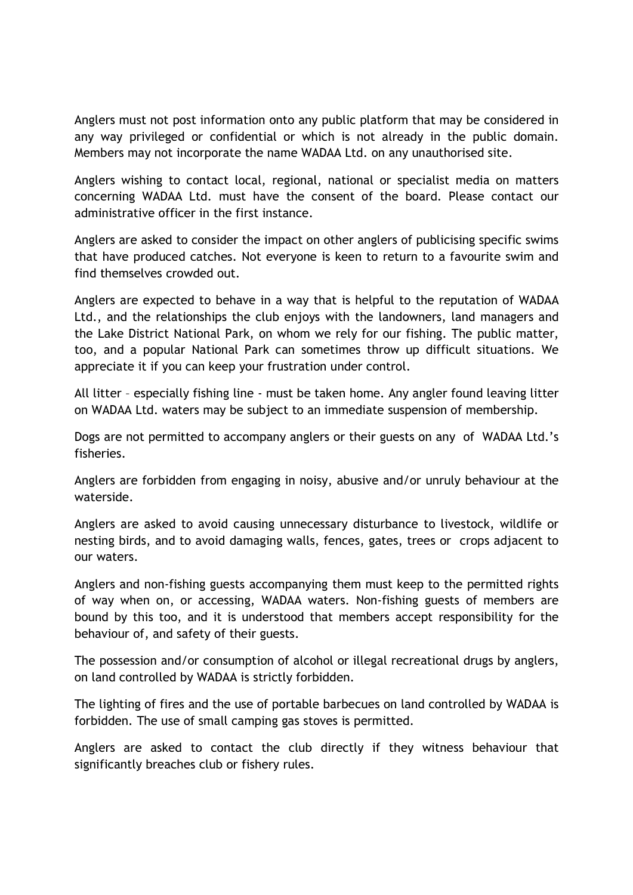Anglers must not post information onto any public platform that may be considered in any way privileged or confidential or which is not already in the public domain. Members may not incorporate the name WADAA Ltd. on any unauthorised site.

Anglers wishing to contact local, regional, national or specialist media on matters concerning WADAA Ltd. must have the consent of the board. Please contact our administrative officer in the first instance.

Anglers are asked to consider the impact on other anglers of publicising specific swims that have produced catches. Not everyone is keen to return to a favourite swim and find themselves crowded out.

Anglers are expected to behave in a way that is helpful to the reputation of WADAA Ltd., and the relationships the club enjoys with the landowners, land managers and the Lake District National Park, on whom we rely for our fishing. The public matter, too, and a popular National Park can sometimes throw up difficult situations. We appreciate it if you can keep your frustration under control.

All litter – especially fishing line - must be taken home. Any angler found leaving litter on WADAA Ltd. waters may be subject to an immediate suspension of membership.

Dogs are not permitted to accompany anglers or their guests on any of WADAA Ltd.'s fisheries.

Anglers are forbidden from engaging in noisy, abusive and/or unruly behaviour at the waterside.

Anglers are asked to avoid causing unnecessary disturbance to livestock, wildlife or nesting birds, and to avoid damaging walls, fences, gates, trees or crops adjacent to our waters.

Anglers and non-fishing guests accompanying them must keep to the permitted rights of way when on, or accessing, WADAA waters. Non-fishing guests of members are bound by this too, and it is understood that members accept responsibility for the behaviour of, and safety of their guests.

The possession and/or consumption of alcohol or illegal recreational drugs by anglers, on land controlled by WADAA is strictly forbidden.

The lighting of fires and the use of portable barbecues on land controlled by WADAA is forbidden. The use of small camping gas stoves is permitted.

Anglers are asked to contact the club directly if they witness behaviour that significantly breaches club or fishery rules.